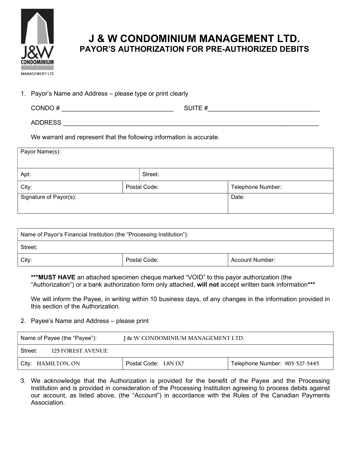

## J & W CONDOMINIUM MANAGEMENT LTD. PAYOR'S AUTHORIZATION FOR PRE-AUTHORIZED DEBITS

1. Payor's Name and Address – please type or print clearly

| CONDO# | $S$ LIITE $\#$ |
|--------|----------------|
| ''     | .              |
|        |                |

ADDRESS \_\_\_\_\_\_\_\_\_\_\_\_\_\_\_\_\_\_\_\_\_\_\_\_\_\_\_\_\_\_\_\_\_\_\_\_\_\_\_\_\_\_\_\_\_\_\_\_\_\_\_\_\_\_\_\_\_\_\_\_\_\_\_\_\_\_\_\_\_\_\_\_\_

We warrant and represent that the following information is accurate.

| Payor Name(s):         |  |              |                   |  |  |
|------------------------|--|--------------|-------------------|--|--|
| Apt:                   |  | Street:      |                   |  |  |
| City:                  |  | Postal Code: | Telephone Number: |  |  |
| Signature of Payor(s): |  | Date:        |                   |  |  |
|                        |  |              |                   |  |  |

| Name of Payor's Financial Institution (the "Processing Institution"): |              |                 |  |  |
|-----------------------------------------------------------------------|--------------|-----------------|--|--|
| Street:                                                               |              |                 |  |  |
| City:                                                                 | Postal Code: | Account Number: |  |  |

\*\*\* MUST HAVE an attached specimen cheque marked "VOID" to this payor authorization (the "Authorization") or a bank authorization form only attached, will not accept written bank information\*\*\*

We will inform the Payee, in writing within 10 business days, of any changes in the information provided in this section of the Authorization.

## 2. Payee's Name and Address – please print

| Name of Payee (the "Payee"):  | I & W CONDOMINIUM MANAGEMENT LTD. |                                |  |
|-------------------------------|-----------------------------------|--------------------------------|--|
| Street:<br>125 FOR EST AVENUE |                                   |                                |  |
| City: HAMILTON, ON            | Postal Code: L8N 1X7              | Telephone Number: 905-527-5445 |  |

3. We acknowledge that the Authorization is provided for the benefit of the Payee and the Processing Institution and is provided in consideration of the Processing Institution agreeing to process debits against our account, as listed above, (the "Account") in accordance with the Rules of the Canadian Payments Association.